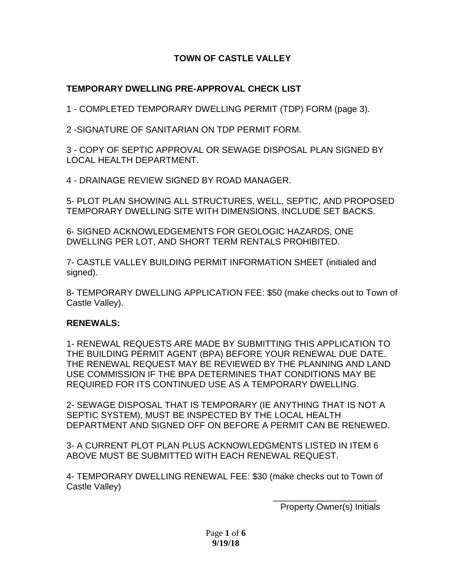# **TOWN OF CASTLE VALLEY**

# **TEMPORARY DWELLING PRE-APPROVAL CHECK LIST**

1 - COMPLETED TEMPORARY DWELLING PERMIT (TDP) FORM (page 3).

2 -SIGNATURE OF SANITARIAN ON TDP PERMIT FORM.

3 - COPY OF SEPTIC APPROVAL OR SEWAGE DISPOSAL PLAN SIGNED BY LOCAL HEALTH DEPARTMENT.

4 - DRAINAGE REVIEW SIGNED BY ROAD MANAGER.

5- PLOT PLAN SHOWING ALL STRUCTURES, WELL, SEPTIC, AND PROPOSED TEMPORARY DWELLING SITE WITH DIMENSIONS. INCLUDE SET BACKS.

6- SIGNED ACKNOWLEDGEMENTS FOR GEOLOGIC HAZARDS, ONE DWELLING PER LOT, AND SHORT TERM RENTALS PROHIBITED.

7- CASTLE VALLEY BUILDING PERMIT INFORMATION SHEET (initialed and signed).

8- TEMPORARY DWELLING APPLICATION FEE: \$50 (make checks out to Town of Castle Valley).

# **RENEWALS:**

1- RENEWAL REQUESTS ARE MADE BY SUBMITTING THIS APPLICATION TO THE BUILDING PERMIT AGENT (BPA) BEFORE YOUR RENEWAL DUE DATE. THE RENEWAL REQUEST MAY BE REVIEWED BY THE PLANNING AND LAND USE COMMISSION IF THE BPA DETERMINES THAT CONDITIONS MAY BE REQUIRED FOR ITS CONTINUED USE AS A TEMPORARY DWELLING.

2- SEWAGE DISPOSAL THAT IS TEMPORARY (IE ANYTHING THAT IS NOT A SEPTIC SYSTEM), MUST BE INSPECTED BY THE LOCAL HEALTH DEPARTMENT AND SIGNED OFF ON BEFORE A PERMIT CAN BE RENEWED.

3- A CURRENT PLOT PLAN PLUS ACKNOWLEDGMENTS LISTED IN ITEM 6 ABOVE MUST BE SUBMITTED WITH EACH RENEWAL REQUEST.

4- TEMPORARY DWELLING RENEWAL FEE: \$30 (make checks out to Town of Castle Valley)

\_\_\_\_\_\_\_\_\_\_\_\_\_\_\_\_\_\_\_\_\_ Property Owner(s) Initials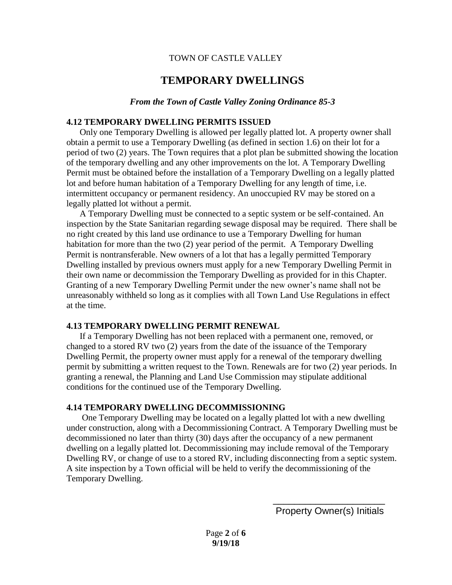#### TOWN OF CASTLE VALLEY

# **TEMPORARY DWELLINGS**

#### *From the Town of Castle Valley Zoning Ordinance 85-3*

#### **4.12 TEMPORARY DWELLING PERMITS ISSUED**

Only one Temporary Dwelling is allowed per legally platted lot. A property owner shall obtain a permit to use a Temporary Dwelling (as defined in section 1.6) on their lot for a period of two (2) years. The Town requires that a plot plan be submitted showing the location of the temporary dwelling and any other improvements on the lot. A Temporary Dwelling Permit must be obtained before the installation of a Temporary Dwelling on a legally platted lot and before human habitation of a Temporary Dwelling for any length of time, i.e. intermittent occupancy or permanent residency. An unoccupied RV may be stored on a legally platted lot without a permit.

A Temporary Dwelling must be connected to a septic system or be self-contained. An inspection by the State Sanitarian regarding sewage disposal may be required. There shall be no right created by this land use ordinance to use a Temporary Dwelling for human habitation for more than the two (2) year period of the permit. A Temporary Dwelling Permit is nontransferable. New owners of a lot that has a legally permitted Temporary Dwelling installed by previous owners must apply for a new Temporary Dwelling Permit in their own name or decommission the Temporary Dwelling as provided for in this Chapter. Granting of a new Temporary Dwelling Permit under the new owner's name shall not be unreasonably withheld so long as it complies with all Town Land Use Regulations in effect at the time.

#### **4.13 TEMPORARY DWELLING PERMIT RENEWAL**

If a Temporary Dwelling has not been replaced with a permanent one, removed, or changed to a stored RV two (2) years from the date of the issuance of the Temporary Dwelling Permit, the property owner must apply for a renewal of the temporary dwelling permit by submitting a written request to the Town. Renewals are for two (2) year periods. In granting a renewal, the Planning and Land Use Commission may stipulate additional conditions for the continued use of the Temporary Dwelling.

#### **4.14 TEMPORARY DWELLING DECOMMISSIONING**

 One Temporary Dwelling may be located on a legally platted lot with a new dwelling under construction, along with a Decommissioning Contract. A Temporary Dwelling must be decommissioned no later than thirty (30) days after the occupancy of a new permanent dwelling on a legally platted lot. Decommissioning may include removal of the Temporary Dwelling RV, or change of use to a stored RV, including disconnecting from a septic system. A site inspection by a Town official will be held to verify the decommissioning of the Temporary Dwelling.

> \_\_\_\_\_\_\_\_\_\_\_\_\_\_\_\_\_\_\_\_\_ Property Owner(s) Initials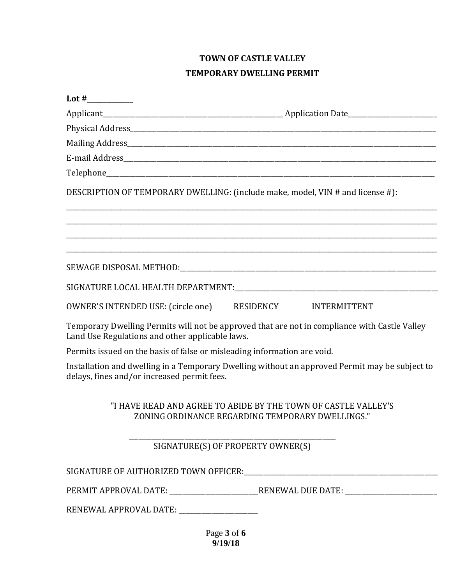# **TOWN OF CASTLE VALLEY TEMPORARY DWELLING PERMIT**

| DESCRIPTION OF TEMPORARY DWELLING: (include make, model, VIN # and license #): |                                                                                                                    |
|--------------------------------------------------------------------------------|--------------------------------------------------------------------------------------------------------------------|
|                                                                                | ,我们也不能在这里的人,我们也不能在这里的人,我们也不能在这里的人,我们也不能在这里的人,我们也不能在这里的人,我们也不能在这里的人,我们也不能在这里的人,我们也                                  |
|                                                                                |                                                                                                                    |
|                                                                                |                                                                                                                    |
| OWNER'S INTENDED USE: (circle one) RESIDENCY INTERMITTENT                      |                                                                                                                    |
| Land Use Regulations and other applicable laws.                                | Temporary Dwelling Permits will not be approved that are not in compliance with Castle Valley                      |
| Permits issued on the basis of false or misleading information are void.       |                                                                                                                    |
| delays, fines and/or increased permit fees.                                    | Installation and dwelling in a Temporary Dwelling without an approved Permit may be subject to                     |
|                                                                                | "I HAVE READ AND AGREE TO ABIDE BY THE TOWN OF CASTLE VALLEY'S<br>ZONING ORDINANCE REGARDING TEMPORARY DWELLINGS." |
| SIGNATURE(S) OF PROPERTY OWNER(S)                                              |                                                                                                                    |
|                                                                                |                                                                                                                    |
|                                                                                | PERMIT APPROVAL DATE: __________________________RENEWAL DUE DATE: _______________                                  |
| RENEWAL APPROVAL DATE: _____________________                                   |                                                                                                                    |
|                                                                                |                                                                                                                    |

Page **3** of **6 9/19/18**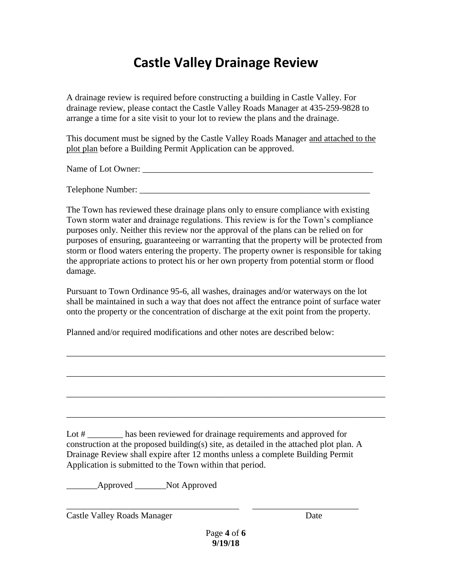# **Castle Valley Drainage Review**

A drainage review is required before constructing a building in Castle Valley. For drainage review, please contact the Castle Valley Roads Manager at 435-259-9828 to arrange a time for a site visit to your lot to review the plans and the drainage.

This document must be signed by the Castle Valley Roads Manager and attached to the plot plan before a Building Permit Application can be approved.

Name of Lot Owner:

Telephone Number:

The Town has reviewed these drainage plans only to ensure compliance with existing Town storm water and drainage regulations. This review is for the Town's compliance purposes only. Neither this review nor the approval of the plans can be relied on for purposes of ensuring, guaranteeing or warranting that the property will be protected from storm or flood waters entering the property. The property owner is responsible for taking the appropriate actions to protect his or her own property from potential storm or flood damage.

Pursuant to Town Ordinance 95-6, all washes, drainages and/or waterways on the lot shall be maintained in such a way that does not affect the entrance point of surface water onto the property or the concentration of discharge at the exit point from the property.

\_\_\_\_\_\_\_\_\_\_\_\_\_\_\_\_\_\_\_\_\_\_\_\_\_\_\_\_\_\_\_\_\_\_\_\_\_\_\_\_\_\_\_\_\_\_\_\_\_\_\_\_\_\_\_\_\_\_\_\_\_\_\_\_\_\_\_\_\_\_\_\_

\_\_\_\_\_\_\_\_\_\_\_\_\_\_\_\_\_\_\_\_\_\_\_\_\_\_\_\_\_\_\_\_\_\_\_\_\_\_\_\_\_\_\_\_\_\_\_\_\_\_\_\_\_\_\_\_\_\_\_\_\_\_\_\_\_\_\_\_\_\_\_\_

\_\_\_\_\_\_\_\_\_\_\_\_\_\_\_\_\_\_\_\_\_\_\_\_\_\_\_\_\_\_\_\_\_\_\_\_\_\_\_\_\_\_\_\_\_\_\_\_\_\_\_\_\_\_\_\_\_\_\_\_\_\_\_\_\_\_\_\_\_\_\_\_

\_\_\_\_\_\_\_\_\_\_\_\_\_\_\_\_\_\_\_\_\_\_\_\_\_\_\_\_\_\_\_\_\_\_\_\_\_\_\_\_\_\_\_\_\_\_\_\_\_\_\_\_\_\_\_\_\_\_\_\_\_\_\_\_\_\_\_\_\_\_\_\_

Planned and/or required modifications and other notes are described below:

Lot # has been reviewed for drainage requirements and approved for construction at the proposed building(s) site, as detailed in the attached plot plan. A Drainage Review shall expire after 12 months unless a complete Building Permit Application is submitted to the Town within that period.

\_\_\_\_\_\_\_\_\_\_\_\_\_\_\_\_\_\_\_\_\_\_\_\_\_\_\_\_\_\_\_\_\_\_\_\_\_\_\_ \_\_\_\_\_\_\_\_\_\_\_\_\_\_\_\_\_\_\_\_\_\_\_\_

\_\_\_\_\_\_\_Approved \_\_\_\_\_\_\_Not Approved

Castle Valley Roads Manager Date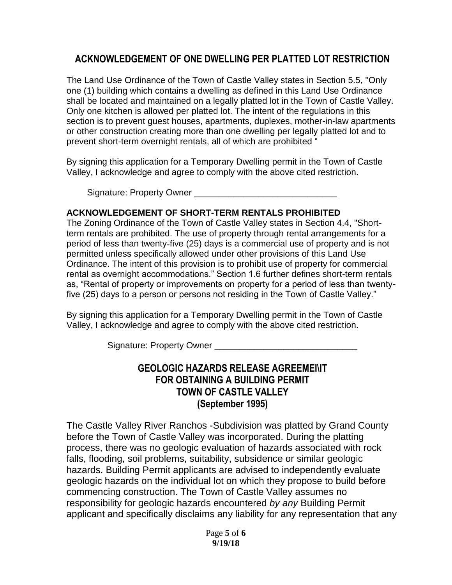# **ACKNOWLEDGEMENT OF ONE DWELLING PER PLATTED LOT RESTRICTION**

The Land Use Ordinance of the Town of Castle Valley states in Section 5.5, "Only one (1) building which contains a dwelling as defined in this Land Use Ordinance shall be located and maintained on a legally platted lot in the Town of Castle Valley. Only one kitchen is allowed per platted lot. The intent of the regulations in this section is to prevent guest houses, apartments, duplexes, mother-in-law apartments or other construction creating more than one dwelling per legally platted lot and to prevent short-term overnight rentals, all of which are prohibited "

By signing this application for a Temporary Dwelling permit in the Town of Castle Valley, I acknowledge and agree to comply with the above cited restriction.

Signature: Property Owner

# **ACKNOWLEDGEMENT OF SHORT-TERM RENTALS PROHIBITED**

The Zoning Ordinance of the Town of Castle Valley states in Section 4.4, "Shortterm rentals are prohibited. The use of property through rental arrangements for a period of less than twenty-five (25) days is a commercial use of property and is not permitted unless specifically allowed under other provisions of this Land Use Ordinance. The intent of this provision is to prohibit use of property for commercial rental as overnight accommodations." Section 1.6 further defines short-term rentals as, "Rental of property or improvements on property for a period of less than twentyfive (25) days to a person or persons not residing in the Town of Castle Valley."

By signing this application for a Temporary Dwelling permit in the Town of Castle Valley, I acknowledge and agree to comply with the above cited restriction.

Signature: Property Owner

# **GEOLOGIC HAZARDS RELEASE AGREEMEI\IT FOR OBTAINING A BUILDING PERMIT TOWN OF CASTLE VALLEY (September 1995)**

The Castle Valley River Ranchos -Subdivision was platted by Grand County before the Town of Castle Valley was incorporated. During the platting process, there was no geologic evaluation of hazards associated with rock falls, flooding, soil problems, suitability, subsidence or similar geologic hazards. Building Permit applicants are advised to independently evaluate geologic hazards on the individual lot on which they propose to build before commencing construction. The Town of Castle Valley assumes no responsibility for geologic hazards encountered *by any* Building Permit applicant and specifically disclaims any liability for any representation that any